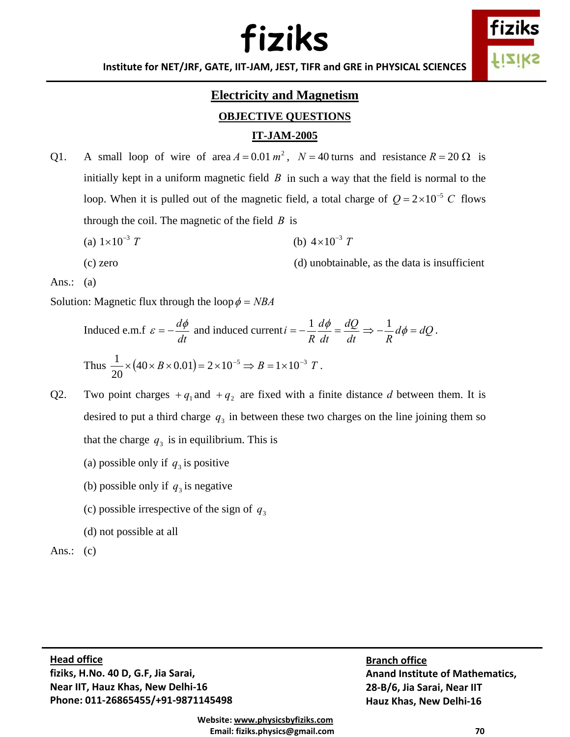**Institute for NET/JRF, GATE, IIT‐JAM, JEST, TIFR and GRE in PHYSICAL SCIENCES**

### **Electricity and Magnetism OBJECTIVE QUESTIONS**

#### **IT-JAM-2005**

- Q1. A small loop of wire of area  $A = 0.01 m^2$ ,  $N = 40$  turns and resistance  $R = 20 \Omega$  is initially kept in a uniform magnetic field  $\hat{B}$  in such a way that the field is normal to the loop. When it is pulled out of the magnetic field, a total charge of  $Q = 2 \times 10^{-5}$  C flows through the coil. The magnetic of the field *B* is
	- (a)  $1 \times 10^{-3}$  *T* (b)  $4 \times 10^{-3}$  *T*

(c) zero (d) unobtainable, as the data is insufficient

Ans.:  $(a)$ 

Solution: Magnetic flux through the loop  $\phi = NBA$ 

Induced e.m.f 
$$
\varepsilon = -\frac{d\phi}{dt}
$$
 and induced current  $i = -\frac{1}{R}\frac{d\phi}{dt} = \frac{dQ}{dt} \Rightarrow -\frac{1}{R}d\phi = dQ$ .  
Thus  $\frac{1}{20} \times (40 \times B \times 0.01) = 2 \times 10^{-5} \Rightarrow B = 1 \times 10^{-3} T$ .

- Q2. Two point charges  $+ q_1$  and  $+ q_2$  are fixed with a finite distance *d* between them. It is desired to put a third charge  $q_3$  in between these two charges on the line joining them so that the charge  $q_3$  is in equilibrium. This is
	- (a) possible only if  $q_3$  is positive
	- (b) possible only if  $q_3$  is negative
	- (c) possible irrespective of the sign of  $q_3$
	- (d) not possible at all

Ans.:  $(c)$ 

 $\mathbf d$  office  **Phone: 011‐26865455/+91‐9871145498 Head office fiziks, H.No. 40 D, G.F, Jia Sarai, Near IIT, Hauz Khas, New Delhi‐16**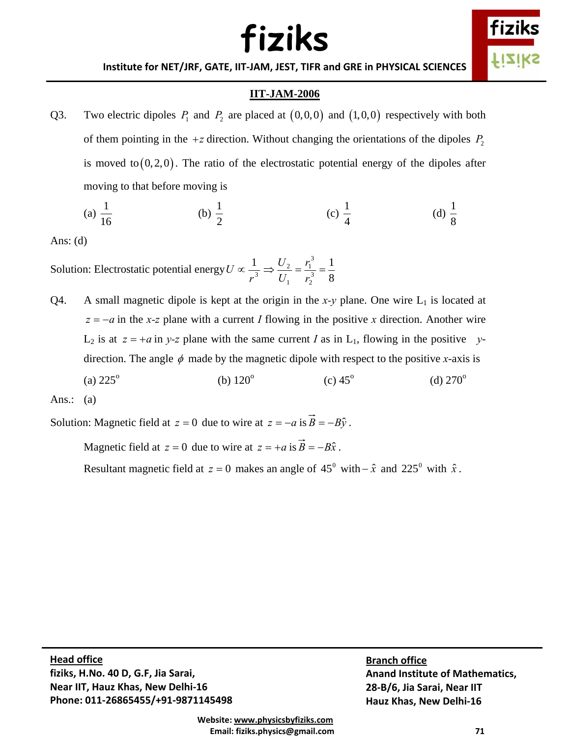

**Institute for NET/JRF, GATE, IIT‐JAM, JEST, TIFR and GRE in PHYSICAL SCIENCES**

#### **IIT-JAM-2006**

Q3. Two electric dipoles  $P_1$  and  $P_2$  are placed at  $(0,0,0)$  and  $(1,0,0)$  respectively with both of them pointing in the  $+z$  direction. Without changing the orientations of the dipoles  $P_2$ is moved to  $(0, 2, 0)$ . The ratio of the electrostatic potential energy of the dipoles after moving to that before moving is

(a) 
$$
\frac{1}{16}
$$
 (b)  $\frac{1}{2}$  (c)  $\frac{1}{4}$  (d)  $\frac{1}{8}$ 

Ans: (d)

Solution: Electrostatic potential energy  $U \propto \frac{1}{r^3}$ *r U* ∝ 8 1 3 2 3 1  $\Rightarrow \frac{U_2}{U_1} = \frac{r_1^3}{r_2^3} =$ *U U*

Q4. A small magnetic dipole is kept at the origin in the *x*-*y* plane. One wire  $L_1$  is located at  $z = -a$  in the *x*-z plane with a current *I* flowing in the positive *x* direction. Another wire  $L_2$  is at  $z = +a$  in *y-z* plane with the same current *I* as in  $L_1$ , flowing in the positive *y*direction. The angle  $\phi$  made by the magnetic dipole with respect to the positive *x*-axis is  $(a) 225^{\circ}$ (b)  $120^{\circ}$  $(c) 45^{\circ}$ (d)  $270^{\circ}$ 

Ans.:  $(a)$ 

Solution: Magnetic field at  $z = 0$  due to wire at  $z = -a$  is  $\vec{B} = -B\hat{y}$ .

Magnetic field at  $z = 0$  due to wire at  $z = +a$  is  $\vec{B} = -B\hat{x}$ .

Resultant magnetic field at  $z = 0$  makes an angle of 45<sup>°</sup> with  $-\hat{x}$  and 225<sup>°</sup> with  $\hat{x}$ .

 $\mathbf d$  office  **Phone: 011‐26865455/+91‐9871145498 Head office fiziks, H.No. 40 D, G.F, Jia Sarai, Near IIT, Hauz Khas, New Delhi‐16**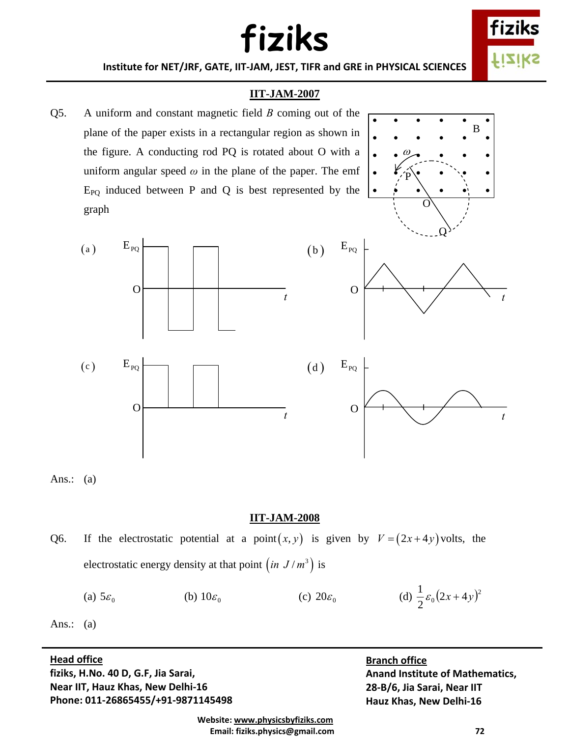fizi fiziks

**Institute for NET/JRF, GATE, IIT‐JAM, JEST, TIFR and GRE in PHYSICAL SCIENCES**

### **IIT-JAM-2007**

Q5. A uniform and constant magnetic field *B* coming out of the plane of the paper exists in a rectangular region as shown in the figure. A conducting rod PQ is rotated about O with a uniform angular speed  $\omega$  in the plane of the paper. The emf  $E_{PO}$  induced between P and Q is best represented by the graph







Ans.:  $(a)$ 

#### **IIT-JAM-2008**

Q6. If the electrostatic potential at a point $(x, y)$  is given by  $V = (2x + 4y)$  volts, the electrostatic energy density at that point  $(in J/m^3)$  is

(a)  $5\varepsilon_0$  (b)  $10\varepsilon_0$  (c)  $20\varepsilon_0$  (d)  $\frac{1}{2}\varepsilon_0(2x+4y)^2$  $\frac{1}{2}\varepsilon_0(2x+4y)$ 

Ans.:  $(a)$ 

#### $\mathbf d$  office **Head office**

 **Phone: 011‐26865455/+91‐9871145498 fiziks, H.No. 40 D, G.F, Jia Sarai, Near IIT, Hauz Khas, New Delhi‐16**

O

 $E_{PQ}$ 

**Branch office Anand Institute of Mathematics, 28‐B/6, Jia Sarai, Near IIT Hauz Khas, New Delhi‐16**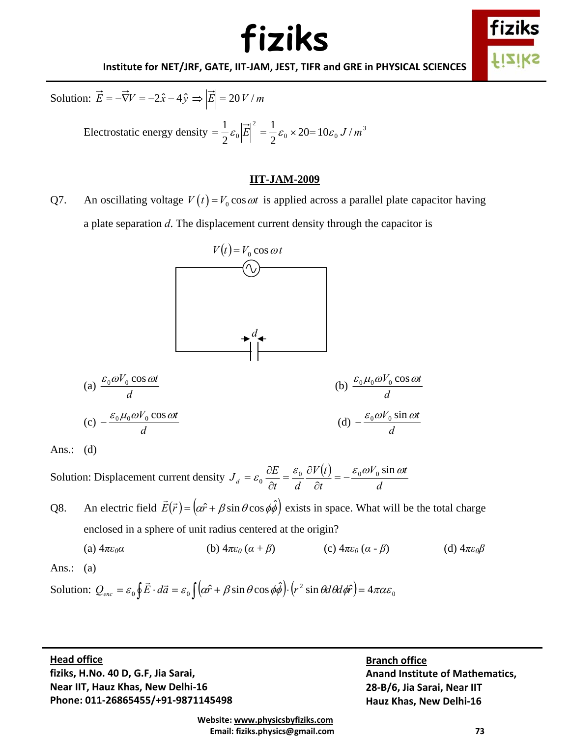

#### **Institute for NET/JRF, GATE, IIT‐JAM, JEST, TIFR and GRE in PHYSICAL SCIENCES**

Solution: 
$$
\vec{E} = -\vec{\nabla}V = -2\hat{x} - 4\hat{y} \implies |\vec{E}| = 20 V/m
$$

Electrostatic energy density  $=\frac{1}{2}\varepsilon_0 \left| E \right| = \frac{1}{2}\varepsilon_0 \times 20 = 10\varepsilon_0 J/m^3$  $\left|\vec{E}\right|^2 = \frac{1}{2}\varepsilon_0 \times 20 = 10\varepsilon_0 J/$ 1 2  $=\frac{1}{2}\varepsilon_0 |\vec{E}|^2 = \frac{1}{2}\varepsilon_0 \times 20 = 10\varepsilon_0 J/m$ 

#### **IIT-JAM-2009**

Q7. An oscillating voltage  $V(t) = V_0 \cos \omega t$  is applied across a parallel plate capacitor having a plate separation *d*. The displacement current density through the capacitor is





Solution: Displacement current density  $J_d = \varepsilon_0 \frac{\partial E}{\partial t} = \frac{\varepsilon_0}{L} \frac{\partial V(t)}{\partial t}$ *d*  $V_0$  sin  $\omega t$ *t*  $V(t)$  $J_d = \varepsilon_0 \frac{\partial E}{\partial t} = \frac{\varepsilon_0}{d} \frac{\partial V(t)}{\partial t} = -\frac{\varepsilon_0 \omega V_0 \sin \omega t}{d}$ 

Q8. An electric field  $\vec{E}(\vec{r}) = (\alpha \hat{r} + \beta \sin \theta \cos \phi \hat{\phi})$  exists in space. What will be the total charge enclosed in a sphere of unit radius centered at the origin?

(a)  $4\pi\varepsilon_0\alpha$  (b)  $4\pi\varepsilon_0\left(\alpha + \beta\right)$  (c)  $4\pi\varepsilon_0\left(\alpha - \beta\right)$  (d)  $4\pi\varepsilon_0\beta$ 

Ans.:  $(a)$ 

Solution: 
$$
Q_{\text{enc}} = \varepsilon_0 \oint \vec{E} \cdot d\vec{a} = \varepsilon_0 \int (\alpha \hat{r} + \beta \sin \theta \cos \phi \hat{\phi}) \cdot (r^2 \sin \theta d\theta d\phi \hat{r}) = 4\pi \alpha \varepsilon_0
$$

 $\mathbf d$  office  **Phone: 011‐26865455/+91‐9871145498 Head office fiziks, H.No. 40 D, G.F, Jia Sarai, Near IIT, Hauz Khas, New Delhi‐16**

**Branch office Anand Institute of Mathematics, 28‐B/6, Jia Sarai, Near IIT Hauz Khas, New Delhi‐16**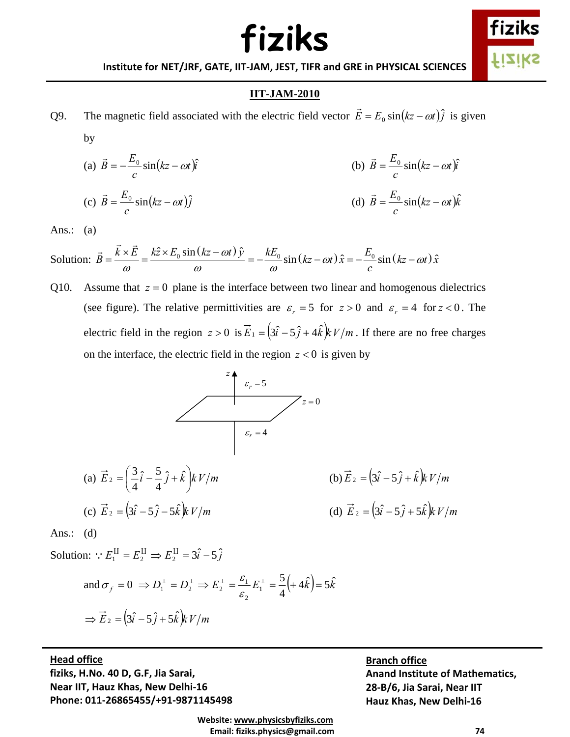

**Institute for NET/JRF, GATE, IIT‐JAM, JEST, TIFR and GRE in PHYSICAL SCIENCES**

#### **IIT-JAM-2010**

Q9. The magnetic field associated with the electric field vector  $\vec{E} = E_0 \sin(kz - \omega t) \hat{j}$  is given by

(a) 
$$
\vec{B} = -\frac{E_0}{c} \sin(kz - \omega t)\hat{i}
$$
  
\n(b)  $\vec{B} = \frac{E_0}{c} \sin(kz - \omega t)\hat{i}$   
\n(c)  $\vec{B} = \frac{E_0}{c} \sin(kz - \omega t)\hat{j}$   
\n(d)  $\vec{B} = \frac{E_0}{c} \sin(kz - \omega t)\hat{k}$ 

Ans.:  $(a)$ 

Solution:  $\vec{B} = \frac{\vec{k} \times \vec{E}}{\omega} = \frac{k \hat{z} \times E_0 \sin(kz - \omega t) \hat{y}}{\omega} = -\frac{kE_0}{\omega} \sin(kz - \omega t) \hat{x} = -\frac{E_0}{c} \sin(kz - \omega t) \hat{x}$  $=-\frac{\hbar^2}{\omega^2}\sin(kz-\omega t)\hat{x}$  =  $-\frac{L_0}{c}\sin(kz-\omega t)$ 

Q10. Assume that  $z = 0$  plane is the interface between two linear and homogenous dielectrics (see figure). The relative permittivities are  $\varepsilon_r = 5$  for  $z > 0$  and  $\varepsilon_r = 4$  for  $z < 0$ . The electric field in the region  $z > 0$  is  $\vec{E}_1 = (3\hat{i} - 5\hat{j} + 4\hat{k})kV/m$ . If there are no free charges on the interface, the electric field in the region  $z < 0$  is given by



(a) 
$$
\vec{E}_2 = \left(\frac{3}{4}\hat{i} - \frac{5}{4}\hat{j} + \hat{k}\right)kV/m
$$
  
\n(b)  $\vec{E}_2 = (3\hat{i} - 5\hat{j} + \hat{k})kV/m$   
\n(c)  $\vec{E}_2 = (3\hat{i} - 5\hat{j} + 5\hat{k})kV/m$   
\n(d)  $\vec{E}_2 = (3\hat{i} - 5\hat{j} + 5\hat{k})kV/m$ 

Ans.:  $(d)$ 

Solution:  $E_1^{\text{II}} = E_2^{\text{II}} \Rightarrow E_2^{\text{II}} = 3\hat{i} - 5\hat{j}$ 

and 
$$
\sigma_f = 0 \implies D_1^{\perp} = D_2^{\perp} \implies E_2^{\perp} = \frac{\varepsilon_1}{\varepsilon_2} E_1^{\perp} = \frac{5}{4} (+4\hat{k}) = 5\hat{k}
$$
  
\n $\implies \vec{E}_2 = (3\hat{i} - 5\hat{j} + 5\hat{k})kV/m$ 

 $\mathbf d$  office  **Phone: 011‐26865455/+91‐9871145498 Head office fiziks, H.No. 40 D, G.F, Jia Sarai, Near IIT, Hauz Khas, New Delhi‐16**

**Branch office**

**Anand Institute of Mathematics, 28‐B/6, Jia Sarai, Near IIT Hauz Khas, New Delhi‐16**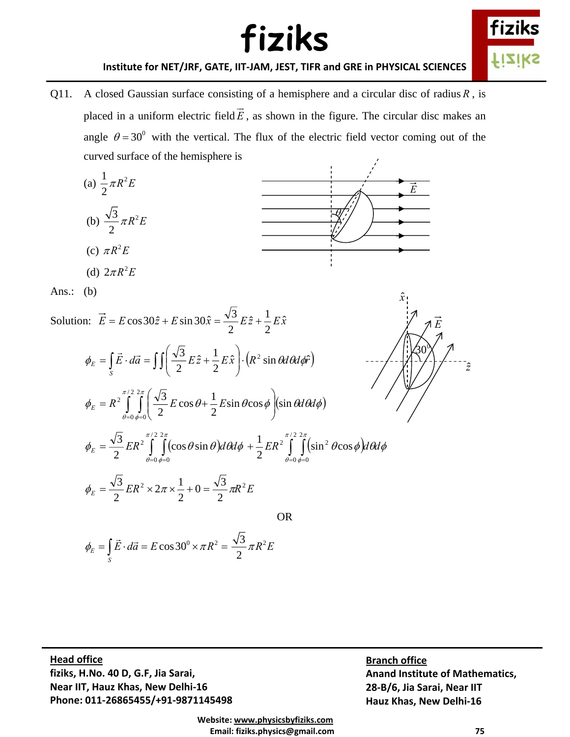

**Institute for NET/JRF, GATE, IIT‐JAM, JEST, TIFR and GRE in PHYSICAL SCIENCES**

Q11. A closed Gaussian surface consisting of a hemisphere and a circular disc of radius *R* , is placed in a uniform electric field *E*  $\rightarrow$ , as shown in the figure. The circular disc makes an angle  $\theta = 30^{\circ}$  with the vertical. The flux of the electric field vector coming out of the curved surface of the hemisphere is



(d)  $2 \pi R^2 E$ 



Ans.: (b)

Solution:  $\vec{E} = E \cos 30 \hat{z} + E \sin 30 \hat{x} = \frac{\sqrt{3}}{2} E \hat{z} + \frac{1}{2} E \hat{x}$ 

$$
\phi_E = \int_S \vec{E} \cdot d\vec{a} = \int \int \left( \frac{\sqrt{3}}{2} E \hat{z} + \frac{1}{2} E \hat{x} \right) \cdot \left( R^2 \sin \theta d\theta d\phi \hat{r} \right)
$$

$$
\phi_E = R^2 \int_{\theta=0}^{\pi/2} \int_{\phi=0}^{2\pi} \left( \frac{\sqrt{3}}{2} E \cos \theta + \frac{1}{2} E \sin \theta \cos \phi \right) (\sin \theta d\theta d\phi)
$$

$$
\frac{\sqrt{\vec{E}}}{\sqrt{\frac{30}{2}}}
$$

*x*ˆ

$$
\phi_E = \frac{\sqrt{3}}{2} ER^2 \int_{\theta=0}^{\pi/2} \int_{\phi=0}^{2\pi} (\cos \theta \sin \theta) d\theta d\phi + \frac{1}{2} ER^2 \int_{\theta=0}^{\pi/2} \int_{\phi=0}^{2\pi} (\sin^2 \theta \cos \phi) d\theta d\phi
$$

OR

$$
\phi_E = \frac{\sqrt{3}}{2} ER^2 \times 2\pi \times \frac{1}{2} + 0 = \frac{\sqrt{3}}{2} \pi R^2 E
$$

$$
\phi_E = \int_S \vec{E} \cdot d\vec{a} = E \cos 30^\circ \times \pi R^2 = \frac{\sqrt{3}}{2} \pi R^2 E
$$

 $\mathbf d$  office  **Phone: 011‐26865455/+91‐9871145498 Head office fiziks, H.No. 40 D, G.F, Jia Sarai, Near IIT, Hauz Khas, New Delhi‐16**

**Branch office Anand Institute of Mathematics, 28‐B/6, Jia Sarai, Near IIT Hauz Khas, New Delhi‐16**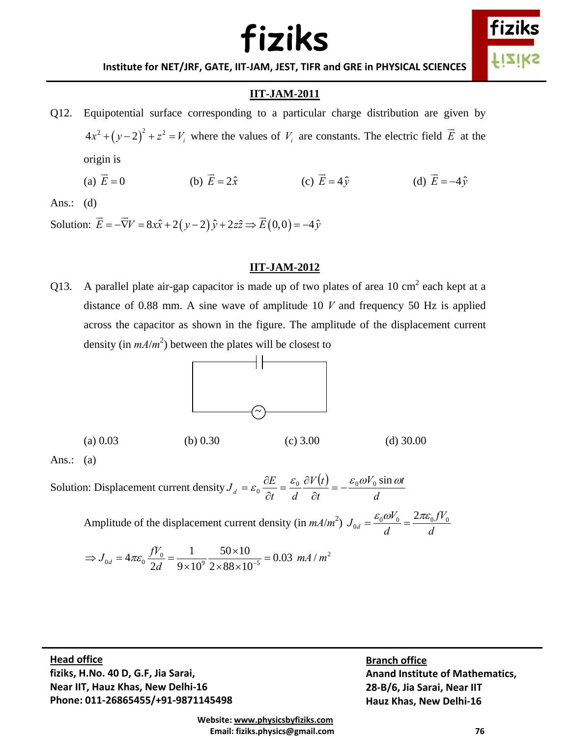

**Institute for NET/JRF, GATE, IIT‐JAM, JEST, TIFR and GRE in PHYSICAL SCIENCES**

### **IIT-JAM-2011**

Q12. Equipotential surface corresponding to a particular charge distribution are given by  $(4x^2 + (y-2)^2 + z^2 = V_i$  where the values of  $V_i$  are constants. The electric field  $\vec{E}$  at the origin is (a)  $\vec{E} = 0$  (b)  $\vec{E} = 2\hat{x}$  (c)  $\vec{E} = 4\hat{v}$  (d)  $\vec{E} = -4\hat{v}$ 

Ans.: (d)

Solution:  $\vec{E} = -\vec{\nabla}V = 8x\hat{x} + 2(y-2)\hat{y} + 2z\hat{z} \implies \vec{E}(0,0) = -4\hat{y}$ 

#### **IIT-JAM-2012**

Q13. A parallel plate air-gap capacitor is made up of two plates of area 10 cm<sup>2</sup> each kept at a distance of 0.88 mm. A sine wave of amplitude 10 *V* and frequency 50 Hz is applied across the capacitor as shown in the figure. The amplitude of the displacement current density (in  $mA/m^2$ ) between the plates will be closest to



(a)  $0.03$  (b)  $0.30$  (c)  $3.00$  (d)  $30.00$ 

Ans.:  $(a)$ 

Solution: Displacement current density  $J_d = \varepsilon_0 \frac{\partial E}{\partial t} = \frac{\varepsilon_0}{L} \frac{\partial V(t)}{\partial t}$ *d*  $V_0$  sin  $\omega t$ *t*  $V(t)$  $J_d = \varepsilon_0 \frac{\partial E}{\partial t} = \frac{\varepsilon_0}{d} \frac{\partial V(t)}{\partial t} = -\frac{\varepsilon_0 \omega V_0 \sin \omega t}{d}$ 

Amplitude of the displacement current density (in  $mA/m^2$ )  $J_{0d} = \frac{\epsilon_0 \omega v_0}{J} = \frac{2\pi \epsilon_0 J v_0}{J}$ 2  $J_{0d} = \frac{\varepsilon_0 \omega V_0}{I} = \frac{2\pi \varepsilon_0 f V_0}{I}$ *d d*  $=\frac{\varepsilon_0 \omega V_0}{I}=\frac{2\pi\varepsilon_0}{I}$ 

$$
\Rightarrow J_{0d} = 4\pi\varepsilon_0 \frac{fV_0}{2d} = \frac{1}{9 \times 10^9} \frac{50 \times 10}{2 \times 88 \times 10^{-5}} = 0.03 \ mA/m^2
$$

 $\mathbf d$  office  **Phone: 011‐26865455/+91‐9871145498 Head office fiziks, H.No. 40 D, G.F, Jia Sarai, Near IIT, Hauz Khas, New Delhi‐16**

**Branch office Anand Institute of Mathematics, 28‐B/6, Jia Sarai, Near IIT Hauz Khas, New Delhi‐16**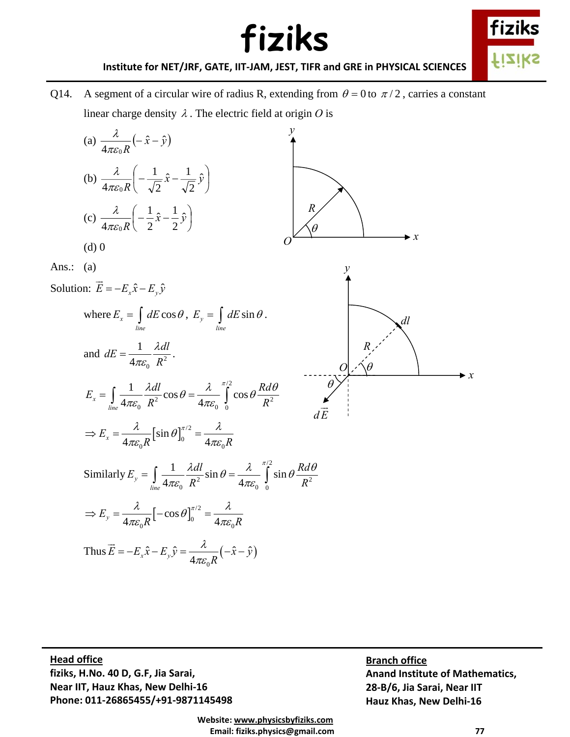

**Institute for NET/JRF, GATE, IIT‐JAM, JEST, TIFR and GRE in PHYSICAL SCIENCES**

Q14. A segment of a circular wire of radius R, extending from  $\theta = 0$  to  $\pi/2$ , carries a constant linear charge density  $\lambda$ . The electric field at origin  $\theta$  is



 $\mathbf d$  office  **Phone: 011‐26865455/+91‐9871145498 Head office fiziks, H.No. 40 D, G.F, Jia Sarai, Near IIT, Hauz Khas, New Delhi‐16**

**Branch office Anand Institute of Mathematics, 28‐B/6, Jia Sarai, Near IIT Hauz Khas, New Delhi‐16**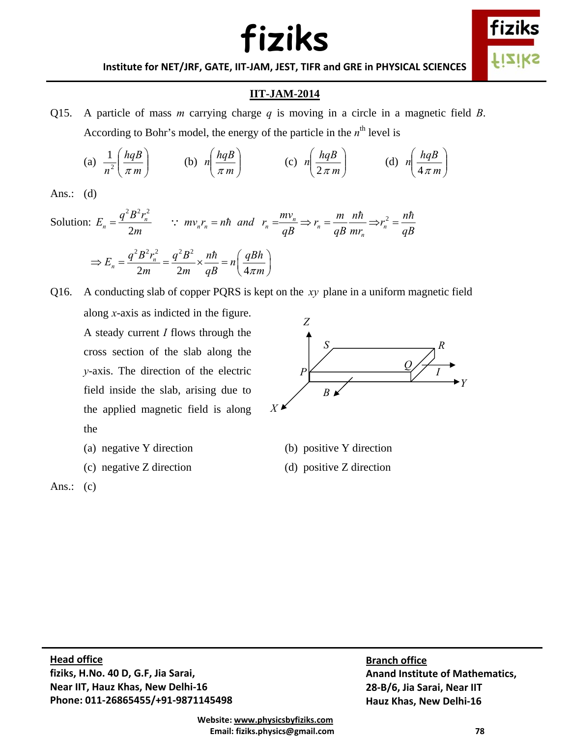

**Institute for NET/JRF, GATE, IIT‐JAM, JEST, TIFR and GRE in PHYSICAL SCIENCES**

### **IIT-JAM-2014**

Q15. A particle of mass *m* carrying charge *q* is moving in a circle in a magnetic field *B*. According to Bohr's model, the energy of the particle in the  $n<sup>th</sup>$  level is

(a) 
$$
\frac{1}{n^2} \left( \frac{hqB}{\pi m} \right)
$$
 (b)  $n \left( \frac{hqB}{\pi m} \right)$  (c)  $n \left( \frac{hqB}{2\pi m} \right)$  (d)  $n \left( \frac{hqB}{4\pi m} \right)$ 

Ans.: (d)

Solution: 
$$
E_n = \frac{q^2 B^2 r_n^2}{2m}
$$
 :  $mv_n r_n = n\hbar$  and  $r_n = \frac{mv_n}{qB} \Rightarrow r_n = \frac{m}{qB} \frac{n\hbar}{mr_n} \Rightarrow r_n^2 = \frac{n\hbar}{qB}$   
\n $\Rightarrow E_n = \frac{q^2 B^2 r_n^2}{2m} = \frac{q^2 B^2}{2m} \times \frac{n\hbar}{qB} = n \left(\frac{qBh}{4\pi m}\right)$ 

Q16. A conducting slab of copper PQRS is kept on the *xy* plane in a uniform magnetic field along *x*-axis as indicted in the figure. A steady current *I* flows through the cross section of the slab along the *y*-axis. The direction of the electric field inside the slab, arising due to the applied magnetic field is along *P S Q B X Z Y R I*

- the
- 
- 



(a) negative Y direction (b) positive Y direction

(c) negative Z direction (d) positive Z direction

 $\mathbf d$  office  **Phone: 011‐26865455/+91‐9871145498 Head office fiziks, H.No. 40 D, G.F, Jia Sarai, Near IIT, Hauz Khas, New Delhi‐16**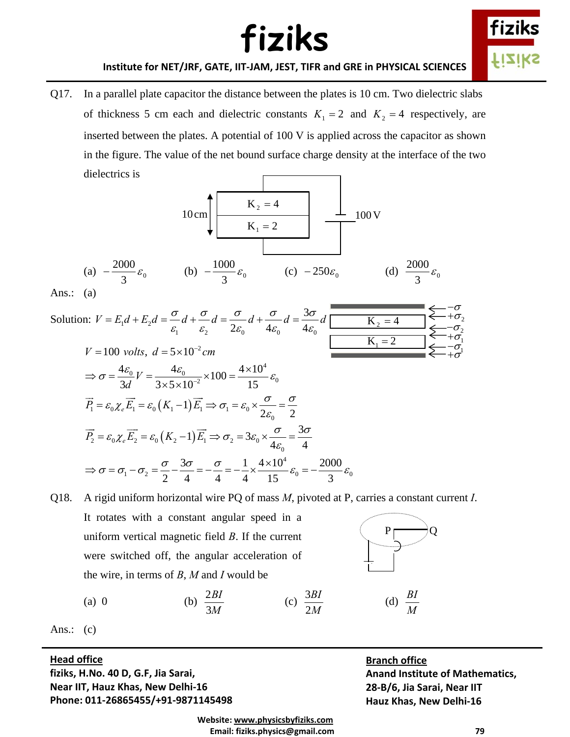

#### **Institute for NET/JRF, GATE, IIT‐JAM, JEST, TIFR and GRE in PHYSICAL SCIENCES**

Q17. In a parallel plate capacitor the distance between the plates is 10 cm. Two dielectric slabs of thickness 5 cm each and dielectric constants  $K_1 = 2$  and  $K_2 = 4$  respectively, are inserted between the plates. A potential of 100 V is applied across the capacitor as shown in the figure. The value of the net bound surface charge density at the interface of the two dielectrics is



Ans.:  $(a)$ 

| Solution: $V = E_1 d + E_2 d = \frac{\sigma}{\varepsilon_1} d + \frac{\sigma}{\varepsilon_2} d = \frac{\sigma}{2\varepsilon_0} d + \frac{\sigma}{4\varepsilon_0} d = \frac{3\sigma}{4\varepsilon_0} d$<br>$K_2 = 4$<br>$K_1 = 2$ |  |
|----------------------------------------------------------------------------------------------------------------------------------------------------------------------------------------------------------------------------------|--|
| $V = 100$ volts, $d = 5 \times 10^{-2}$ cm                                                                                                                                                                                       |  |
| $\Rightarrow \sigma = \frac{4\epsilon_0}{3d}V = \frac{4\epsilon_0}{3\times5\times10^{-2}} \times 100 = \frac{4\times10^4}{15}\epsilon_0$                                                                                         |  |
| $\overrightarrow{P_1} = \varepsilon_0 \chi_e \overrightarrow{E_1} = \varepsilon_0 (K_1 - 1) \overrightarrow{E_1} \Rightarrow \sigma_1 = \varepsilon_0 \times \frac{\sigma}{2\varepsilon_0} = \frac{\sigma}{2}$                   |  |
| $\overrightarrow{P_2} = \varepsilon_0 \chi_e \overrightarrow{E_2} = \varepsilon_0 (K_2 - 1) \overrightarrow{E_1} \Rightarrow \sigma_2 = 3\varepsilon_0 \times \frac{\sigma}{4\varepsilon_0} = \frac{3\sigma}{4}$                 |  |
| $\Rightarrow \sigma = \sigma_1 - \sigma_2 = \frac{\sigma}{2} - \frac{3\sigma}{4} = -\frac{\sigma}{4} = -\frac{1}{4} \times \frac{4 \times 10^4}{15} \varepsilon_0 = -\frac{2000}{3} \varepsilon_0$                               |  |

Q18. A rigid uniform horizontal wire PQ of mass *M*, pivoted at P, carries a constant current *I*. It rotates with a constant angular speed in a uniform vertical magnetic field *B*. If the current were switched off, the angular acceleration of the wire, in terms of *B*, *M* and *I* would be  $P \fbox{2}Q$ 

$$
\left(\begin{array}{c}\nP \\
\hline\n\end{array}\right)Q
$$

(d)  $\frac{BI}{M}$ 

(a) 0 (b) 
$$
\frac{2BI}{3M}
$$
 (c)  $\frac{3BI}{2M}$ 

Ans.:  $(c)$ 

#### $\mathbf d$  office **Head office**

 **Phone: 011‐26865455/+91‐9871145498 fiziks, H.No. 40 D, G.F, Jia Sarai, Near IIT, Hauz Khas, New Delhi‐16**

#### **Branch office**

 $\frac{3BI}{2M}$  (d)  $\frac{BI}{M}$ 

**Anand Institute of Mathematics, 28‐B/6, Jia Sarai, Near IIT Hauz Khas, New Delhi‐16**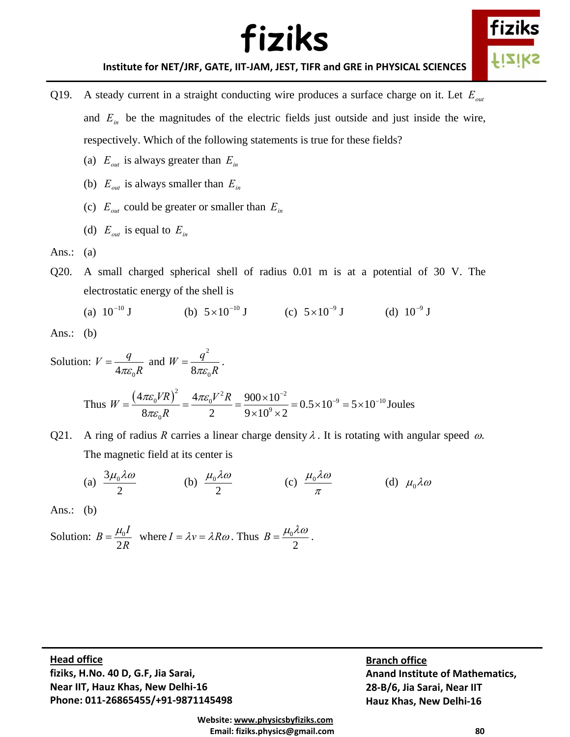

**Institute for NET/JRF, GATE, IIT‐JAM, JEST, TIFR and GRE in PHYSICAL SCIENCES**

- Q19. A steady current in a straight conducting wire produces a surface charge on it. Let  $E_{out}$ and  $E_{in}$  be the magnitudes of the electric fields just outside and just inside the wire, respectively. Which of the following statements is true for these fields?
	- (a)  $E_{out}$  is always greater than  $E_{in}$
	- (b)  $E_{out}$  is always smaller than  $E_{in}$
	- (c)  $E_{out}$  could be greater or smaller than  $E_{in}$
	- (d)  $E_{out}$  is equal to  $E_{in}$
- Ans.:  $(a)$
- Q20. A small charged spherical shell of radius 0.01 m is at a potential of 30 V. The electrostatic energy of the shell is
	- (a)  $10^{-10}$  J (b)  $5 \times 10^{-10}$  J (c)  $5 \times 10^{-9}$  J (d)  $10^{-9}$  J

Ans.:  $(b)$ 

Solution: 
$$
V = \frac{q}{4\pi\epsilon_0 R}
$$
 and  $W = \frac{q^2}{8\pi\epsilon_0 R}$ .  
\nThus  $W = \frac{(4\pi\epsilon_0 VR)^2}{8\pi\epsilon_0 R} = \frac{4\pi\epsilon_0V^2R}{2} = \frac{900 \times 10^{-2}}{9 \times 10^9 \times 2} = 0.5 \times 10^{-9} = 5 \times 10^{-10}$  Joules

Q21. A ring of radius *R* carries a linear charge density  $\lambda$ . It is rotating with angular speed  $\omega$ . The magnetic field at its center is

(a)  $\frac{3\mu_0\lambda\omega}{2}$  (b)  $\frac{\mu_0\lambda\omega}{2}$  (c)  $\frac{\mu_0\lambda\omega}{\pi}$  (d)  $\mu_0\lambda\omega$ 

Ans.: (b)

Solution: 
$$
B = \frac{\mu_0 I}{2R}
$$
 where  $I = \lambda v = \lambda R \omega$ . Thus  $B = \frac{\mu_0 \lambda \omega}{2}$ .

 $\mathbf d$  office  **Phone: 011‐26865455/+91‐9871145498 Head office fiziks, H.No. 40 D, G.F, Jia Sarai, Near IIT, Hauz Khas, New Delhi‐16**

**Branch office Anand Institute of Mathematics, 28‐B/6, Jia Sarai, Near IIT Hauz Khas, New Delhi‐16**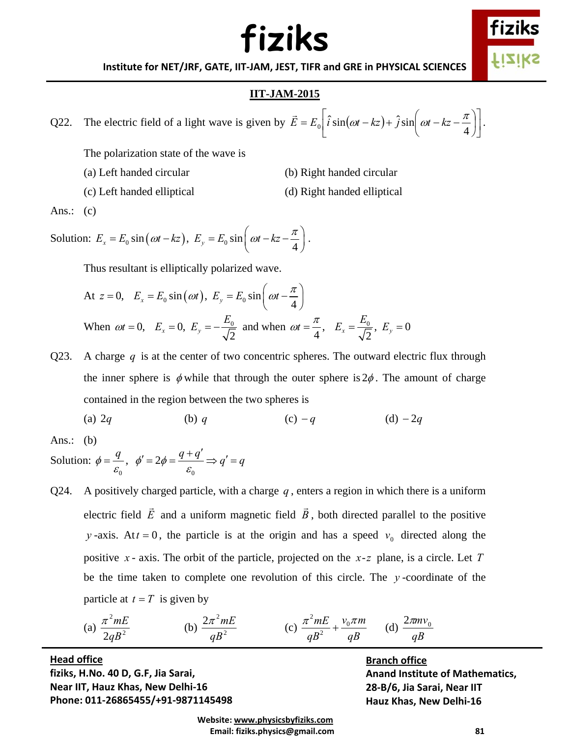

**Institute for NET/JRF, GATE, IIT‐JAM, JEST, TIFR and GRE in PHYSICAL SCIENCES**

#### **IIT-JAM-2015**

Q22. The electric field of a light wave is given by  $\vec{E} = E_0 \left[ \hat{i} \sin(\omega t - kz) + \hat{j} \sin \left(\omega t - kz - \frac{\pi}{4} \right) \right]$  $\left|\hat{i}\sin(\omega t - kz) + \hat{j}\sin\left(\omega t - kz - \frac{\pi}{4}\right)\right|$ ⎠  $\left(\omega t - kz - \frac{\pi}{4}\right)$  $\vec{E} = E_0 \left[ \hat{i} \sin(\omega t - kz) + \hat{j} \sin\left(\omega t - kz - \frac{\pi}{4} \right) \right].$ 

The polarization state of the wave is

- (a) Left handed circular (b) Right handed circular
- (c) Left handed elliptical (d) Right handed elliptical

Ans.:  $(c)$ 

Solution: 
$$
E_x = E_0 \sin(\omega t - kz)
$$
,  $E_y = E_0 \sin(\omega t - kz - \frac{\pi}{4})$ .

Thus resultant is elliptically polarized wave.

At 
$$
z = 0
$$
,  $E_x = E_0 \sin(\omega t)$ ,  $E_y = E_0 \sin\left(\omega t - \frac{\pi}{4}\right)$   
When  $\omega t = 0$ ,  $E_x = 0$ ,  $E_y = -\frac{E_0}{\sqrt{2}}$  and when  $\omega t = \frac{\pi}{4}$ ,  $E_x = \frac{E_0}{\sqrt{2}}$ ,  $E_y = 0$ 

- Q23. A charge  $q$  is at the center of two concentric spheres. The outward electric flux through the inner sphere is  $\phi$  while that through the outer sphere is  $2\phi$ . The amount of charge contained in the region between the two spheres is
	- (a)  $2q$  (b) *q* (c) − *q* (d) − 2*q*

Ans.:  $(b)$ 

Solution:  $\mathbf{0}$  $\phi = \frac{q}{\varepsilon_0}, \phi' = 2\phi = \frac{q+1}{\varepsilon_0}$  $\phi' = 2\phi = \frac{q+q'}{\varepsilon_o} \Longrightarrow q' = q$ 

Q24. A positively charged particle, with a charge *q* , enters a region in which there is a uniform electric field *E*  $\rightarrow$  and a uniform magnetic field *B*  $\rightarrow$ , both directed parallel to the positive *y* -axis. At  $t = 0$ , the particle is at the origin and has a speed  $v_0$  directed along the positive *x* - axis. The orbit of the particle, projected on the *x*-*z* plane, is a circle. Let *T* be the time taken to complete one revolution of this circle. The *y* -coordinate of the particle at  $t = T$  is given by

(a) 
$$
\frac{\pi^2 mE}{2qB^2}
$$
 (b)  $\frac{2\pi^2 mE}{qB^2}$  (c)  $\frac{\pi^2 mE}{qB^2} + \frac{v_0 \pi m}{qB}$  (d)  $\frac{2\pi m v_0}{qB}$ 

 $\mathbf d$  office  **Phone: 011‐26865455/+91‐9871145498 Head office fiziks, H.No. 40 D, G.F, Jia Sarai, Near IIT, Hauz Khas, New Delhi‐16**

**Branch office Anand Institute of Mathematics, 28‐B/6, Jia Sarai, Near IIT Hauz Khas, New Delhi‐16**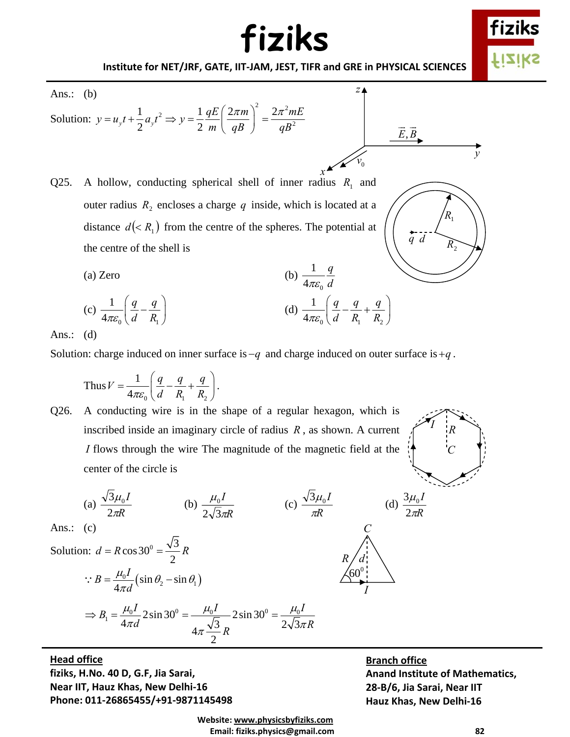

**Institute for NET/JRF, GATE, IIT‐JAM, JEST, TIFR and GRE in PHYSICAL SCIENCES**

Ans.: (b)  
\nSolution: 
$$
y = u_y t + \frac{1}{2} a_y t^2 \Rightarrow y = \frac{1}{2} \frac{qE}{m} \left(\frac{2\pi m}{qB}\right)^2 = \frac{2\pi^2 mE}{qB^2}
$$
  
\nQ25. A hollow, conducting spherical shell of inner radius  $R_1$  and outer radius  $R_2$  encloses a charge q inside, which is located at a  
\ndistance  $d(< R_1$ ) from the centre of the spheres. The potential at  
\nthe centre of the shell is  
\n(a) Zero  
\n
$$
\text{(b)} \frac{1}{4\pi\varepsilon_0} \frac{q}{d}
$$
\n
$$
\text{(c)} \frac{1}{4\pi\varepsilon_0} \left(\frac{q}{d} - \frac{q}{R_1}\right)
$$
\nAns: (d)  
\nAns: (d)

Ans.: (d)

Solution: charge induced on inner surface is −*q* and charge induced on outer surface is +*q* .

Thus 
$$
V = \frac{1}{4\pi\varepsilon_0} \left( \frac{q}{d} - \frac{q}{R_1} + \frac{q}{R_2} \right).
$$

Q26. A conducting wire is in the shape of a regular hexagon, which is inscribed inside an imaginary circle of radius *R* , as shown. A current *I* flows through the wire The magnitude of the magnetic field at the center of the circle is

> *R I* π



$$
\frac{\overline{3}\mu_0 I}{2\pi R}
$$
 (b) 
$$
\frac{\mu_0}{2\sqrt{3}}
$$

 $rac{0}{3\pi R}$  (c)  $rac{\sqrt{3}\mu_0 I}{\pi R}$ π

 $\frac{3\mu_0 I}{\pi R}$  (d)  $\frac{3\mu_0 I}{2\pi R}$ 2 *C*

 $60^{\rm o}$ 

 $\big/$  *d* 

*I*



Ans.:  $(c)$ 

(a)  $\frac{\sqrt{3\mu_0}}{2\pi R}$ 

π  $\mu_{\scriptscriptstyle (}$ 2

*I*

Solution:  $d = R \cos 30^\circ = \frac{\sqrt{3}}{2}$ 2  $d = R \cos 30^\circ = \frac{\sqrt{5}}{2} R$  $\frac{\mu_0 I}{4\pi d} \left( \sin \theta_2 - \sin \theta_1 \right)$  $B=\frac{\mu_0 I}{I}$ *d*  $\frac{\mu_0 I}{\sin \theta_2}$  (sin  $\theta_2$  – sin  $\theta_2$  $\therefore B = \frac{\mu_0 I}{4 \pi d} (\sin \theta_2 B_1 = \frac{\mu_0 I}{4-d} 2 \sin 30^\circ = \frac{\mu_0 I}{\sqrt{2}} - 2 \sin 30^\circ = \frac{\mu_0}{2\sqrt{2}}$  $4\pi d$   $4\pi \frac{\sqrt{3}}{2} R$   $2\sqrt{3}$ 2  $B_1 = \frac{\mu_0 I}{I} 2 \sin 30^\circ = \frac{\mu_0 I}{I} 2 \sin 30^\circ = \frac{\mu_0 I}{I}$  $d \overline{AB} = 2\sqrt{3\pi R}$  $\mu_0 I$   $\lambda_1 \cdot \lambda_2 = 200$   $\mu_0 I$   $\lambda_1 \cdot \lambda_2 = 200$   $\mu_0$  $\pi a$   $4\pi \frac{\sqrt{3}}{R}R$   $2\sqrt{3}\pi$  $\Rightarrow B_1 = \frac{\mu_0 I}{I} 2 \sin 30^\circ = \frac{\mu_0 I}{I} 2 \sin 30^\circ =$ 

 $\mathbf d$  office  **Phone: 011‐26865455/+91‐9871145498 Head office fiziks, H.No. 40 D, G.F, Jia Sarai, Near IIT, Hauz Khas, New Delhi‐16**

#### **Branch office**

**Anand Institute of Mathematics, 28‐B/6, Jia Sarai, Near IIT Hauz Khas, New Delhi‐16**

 **Website: www.physicsbyfiziks.com Email: fiziks.physics@gmail.com 82**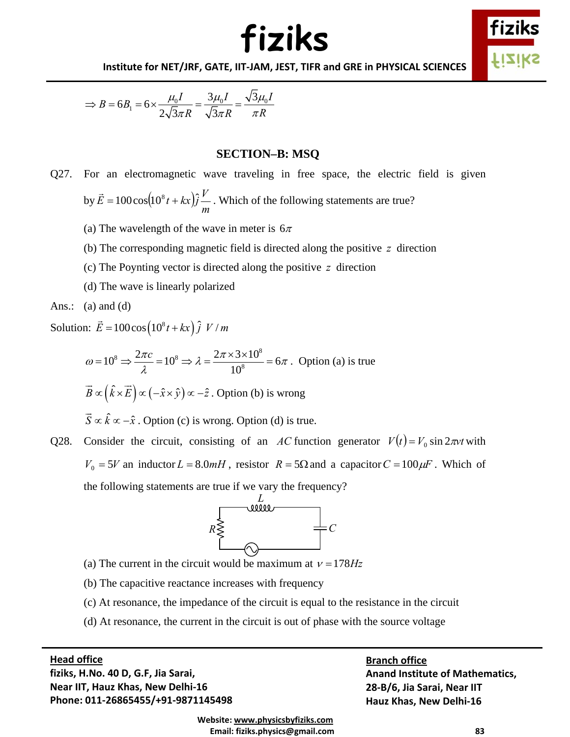



**Institute for NET/JRF, GATE, IIT‐JAM, JEST, TIFR and GRE in PHYSICAL SCIENCES**

$$
\Rightarrow B = 6B_1 = 6 \times \frac{\mu_0 I}{2\sqrt{3}\pi R} = \frac{3\mu_0 I}{\sqrt{3}\pi R} = \frac{\sqrt{3}\mu_0 I}{\pi R}
$$

#### **SECTION–B: MSQ**

- Q27. For an electromagnetic wave traveling in free space, the electric field is given by  $\dot{E} = 100 \cos(10^8 t + kx) \hat{j} \frac{r}{m}$  $\vec{E} = 100 \cos(10^8 t + kx) \hat{j}$  *V* . Which of the following statements are true?
	- (a) The wavelength of the wave in meter is  $6\pi$
	- (b) The corresponding magnetic field is directed along the positive *z* direction
	- (c) The Poynting vector is directed along the positive *z* direction
	- (d) The wave is linearly polarized
- Ans.:  $(a)$  and  $(d)$

Solution:  $\vec{E} = 100 \cos(10^8 t + kx) \hat{j} V/m$ 

$$
\omega = 10^8 \Rightarrow \frac{2\pi c}{\lambda} = 10^8 \Rightarrow \lambda = \frac{2\pi \times 3 \times 10^8}{10^8} = 6\pi
$$
. Option (a) is true

$$
\vec{B} \propto (\hat{k} \times \vec{E}) \propto (-\hat{x} \times \hat{y}) \propto -\hat{z}
$$
. Option (b) is wrong

 $\vec{S} \propto \hat{k} \propto -\hat{x}$ . Option (c) is wrong. Option (d) is true.

Q28. Consider the circuit, consisting of an *AC* function generator  $V(t) = V_0 \sin 2\pi vt$  with  $V_0 = 5V$  an inductor  $L = 8.0$ *mH*, resistor  $R = 5\Omega$  and a capacitor  $C = 100 \mu$ F. Which of the following statements are true if we vary the frequency?



- (a) The current in the circuit would be maximum at  $v = 178Hz$
- (b) The capacitive reactance increases with frequency
- (c) At resonance, the impedance of the circuit is equal to the resistance in the circuit
- (d) At resonance, the current in the circuit is out of phase with the source voltage

### $\mathbf d$  office **Head office**

 **Phone: 011‐26865455/+91‐9871145498 fiziks, H.No. 40 D, G.F, Jia Sarai, Near IIT, Hauz Khas, New Delhi‐16**

**Branch office Anand Institute of Mathematics, 28‐B/6, Jia Sarai, Near IIT Hauz Khas, New Delhi‐16**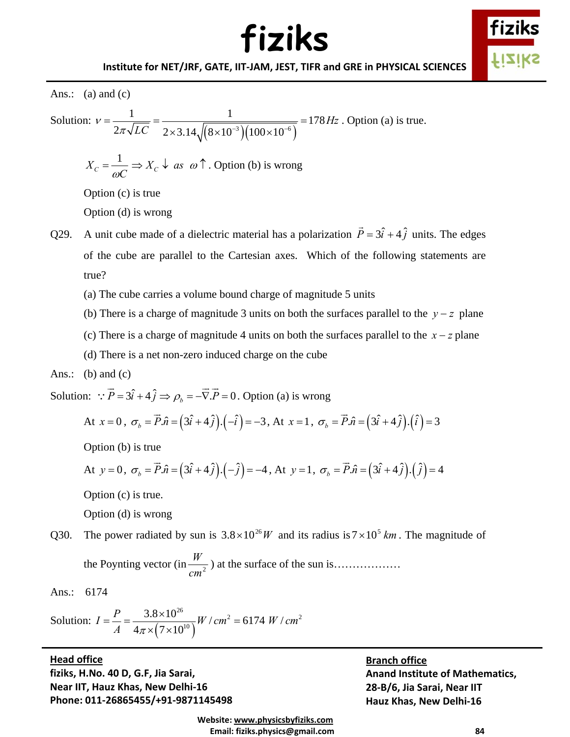

Ans.: (a) and  $(c)$ Solution:  $(8\times10^{-3}) (100\times10^{-6})$  $\frac{1}{\sqrt{1}} = \frac{1}{\sqrt{1 - \frac{1}{\sqrt{1 - \frac{1}{\sqrt{1 - \frac{1}{\sqrt{1 - \frac{1}{\sqrt{1 - \frac{1}{\sqrt{1 - \frac{1}{\sqrt{1 - \frac{1}{\sqrt{1 - \frac{1}{\sqrt{1 - \frac{1}{\sqrt{1 - \frac{1}{\sqrt{1 - \frac{1}{\sqrt{1 - \frac{1}{\sqrt{1 - \frac{1}{\sqrt{1 - \frac{1}{\sqrt{1 - \frac{1}{\sqrt{1 - \frac{1}{\sqrt{1 - \frac{1}{\sqrt{1 - \frac{1}{\sqrt{1 - \frac{1}{\sqrt{1 - \frac{1}{\sqrt{1$  $2\pi\sqrt{LC}$  2×3.14 $\sqrt{(8\times10^{-3})(100\times10^{-3})}$ *Hz*  $v = \frac{v}{2\pi\sqrt{LC}} = \frac{1}{2\times3.14\sqrt{(8\times10^{-3})(100\times10^{-3})}}$ = <del>\_\_\_\_</del> = \_\_\_\_\_\_\_\_\_\_\_\_\_\_\_\_\_\_\_\_\_\_\_\_\_\_ =  $\times 3.14\sqrt{(8\times10^{-3})(100\times10^{-3})}$ . Option (a) is true.  $X_c = \frac{1}{\omega C} \Rightarrow X_c \downarrow \text{ as } \omega \uparrow$ . Option (b) is wrong Option (c) is true Option (d) is wrong Q29. A unit cube made of a dielectric material has a polarization  $\vec{P} = 3\hat{i} + 4\hat{j}$  units. The edges of the cube are parallel to the Cartesian axes. Which of the following statements are true? (a) The cube carries a volume bound charge of magnitude 5 units (b) There is a charge of magnitude 3 units on both the surfaces parallel to the *y* − *z* plane (c) There is a charge of magnitude 4 units on both the surfaces parallel to the  $x - z$  plane (d) There is a net non-zero induced charge on the cube Ans.: (b) and  $(c)$ Solution:  $\vec{P} = 3\hat{i} + 4\hat{j} \implies \rho_b = -\vec{\nabla} \cdot \vec{P} = 0$ . Option (a) is wrong At  $x = 0$ ,  $\sigma_b = \vec{P} \cdot \hat{n} = (3\hat{i} + 4\hat{j}) \cdot (-\hat{i}) = -3$ , At  $x = 1$ ,  $\sigma_b = \vec{P} \cdot \hat{n} = (3\hat{i} + 4\hat{j}) \cdot (\hat{i}) = 3$ 

Option (b) is true

At 
$$
y = 0
$$
,  $\sigma_b = \vec{P} \cdot \hat{n} = (3\hat{i} + 4\hat{j}) \cdot (-\hat{j}) = -4$ , At  $y = 1$ ,  $\sigma_b = \vec{P} \cdot \hat{n} = (3\hat{i} + 4\hat{j}) \cdot (\hat{j}) = 4$ 

Option (c) is true.

Option (d) is wrong

Q30. The power radiated by sun is  $3.8 \times 10^{26} W$  and its radius is  $7 \times 10^{5} km$ . The magnitude of the Poynting vector (in  $\frac{r}{cm^2}$ ) *<sup>W</sup>* ) at the surface of the sun is………………

Ans.: 6174

Solution: 
$$
I = \frac{P}{A} = \frac{3.8 \times 10^{26}}{4\pi \times (7 \times 10^{10})} W / cm^2 = 6174 W / cm^2
$$

 $\mathbf d$  office **Head office**

 **Phone: 011‐26865455/+91‐9871145498 fiziks, H.No. 40 D, G.F, Jia Sarai, Near IIT, Hauz Khas, New Delhi‐16**

**Branch office Anand Institute of Mathematics, 28‐B/6, Jia Sarai, Near IIT Hauz Khas, New Delhi‐16**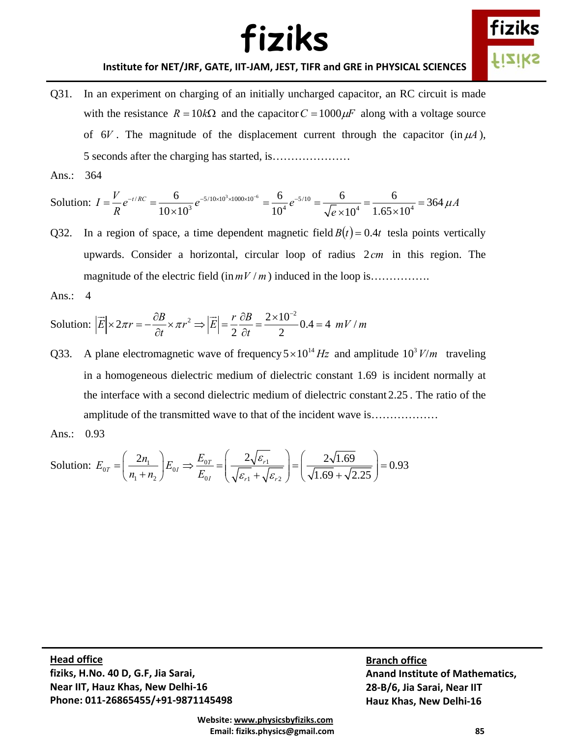

#### **Institute for NET/JRF, GATE, IIT‐JAM, JEST, TIFR and GRE in PHYSICAL SCIENCES**

Q31. In an experiment on charging of an initially uncharged capacitor, an RC circuit is made with the resistance  $R = 10k\Omega$  and the capacitor  $C = 1000\mu$  along with a voltage source of  $6V$ . The magnitude of the displacement current through the capacitor (in  $\mu$ A), 5 seconds after the charging has started, is…………………

Ans.: 364

Solution: 
$$
I = \frac{V}{R}e^{-t/RC} = \frac{6}{10 \times 10^3}e^{-5/10 \times 10^3 \times 1000 \times 10^{-6}} = \frac{6}{10^4}e^{-5/10} = \frac{6}{\sqrt{e} \times 10^4} = \frac{6}{1.65 \times 10^4} = 364 \ \mu A
$$

- Q32. In a region of space, a time dependent magnetic field  $B(t) = 0.4t$  tesla points vertically upwards. Consider a horizontal, circular loop of radius 2*cm* in this region. The magnitude of the electric field  $(\ln mV/m)$  induced in the loop is…………….
- Ans.: 4

Solution: 
$$
|\vec{E}| \times 2\pi r = -\frac{\partial B}{\partial t} \times \pi r^2 \Rightarrow |\vec{E}| = \frac{r}{2} \frac{\partial B}{\partial t} = \frac{2 \times 10^{-2}}{2} 0.4 = 4 \ mV/m
$$

Q33. A plane electromagnetic wave of frequency  $5 \times 10^{14}$  Hz and amplitude  $10^3$  *V/m* traveling in a homogeneous dielectric medium of dielectric constant 1.69 is incident normally at the interface with a second dielectric medium of dielectric constant 2.25 . The ratio of the amplitude of the transmitted wave to that of the incident wave is………………

Ans.: 0.93

Solution: 
$$
E_{0T} = \left(\frac{2n_1}{n_1 + n_2}\right) E_{0I} \Rightarrow \frac{E_{0T}}{E_{0I}} = \left(\frac{2\sqrt{\varepsilon_{r1}}}{\sqrt{\varepsilon_{r1}} + \sqrt{\varepsilon_{r2}}}\right) = \left(\frac{2\sqrt{1.69}}{\sqrt{1.69} + \sqrt{2.25}}\right) = 0.93
$$

 $\mathbf d$  office  **Phone: 011‐26865455/+91‐9871145498 Head office fiziks, H.No. 40 D, G.F, Jia Sarai, Near IIT, Hauz Khas, New Delhi‐16**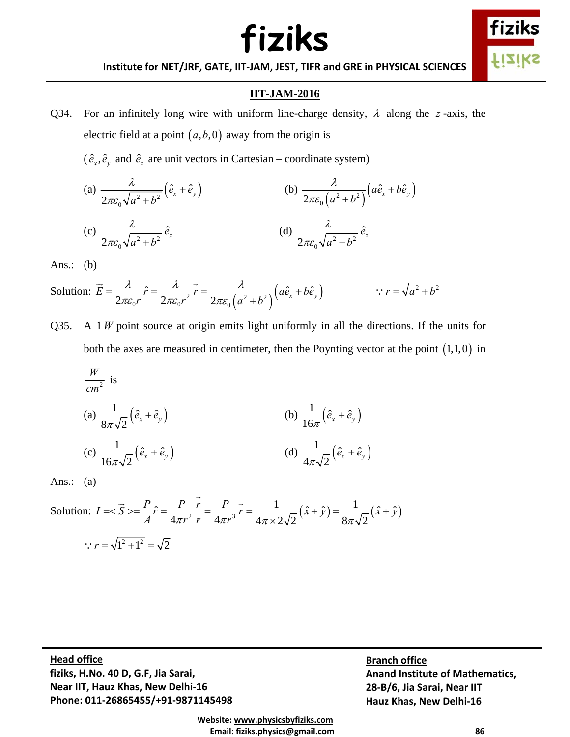

**Institute for NET/JRF, GATE, IIT‐JAM, JEST, TIFR and GRE in PHYSICAL SCIENCES**

### **IIT-JAM-2016**

Q34. For an infinitely long wire with uniform line-charge density, λ along the *z* -axis, the electric field at a point  $(a, b, 0)$  away from the origin is

 $(\hat{e}_x, \hat{e}_y, \hat{e}_z)$  and  $\hat{e}_z$  are unit vectors in Cartesian – coordinate system)

(a) 
$$
\frac{\lambda}{2\pi\varepsilon_0\sqrt{a^2+b^2}}(\hat{e}_x+\hat{e}_y)
$$
   
\n(b)  $\frac{\lambda}{2\pi\varepsilon_0(a^2+b^2)}(a\hat{e}_x+b\hat{e}_y)$   
\n(c)  $\frac{\lambda}{2\pi\varepsilon_0\sqrt{a^2+b^2}}\hat{e}_x$   
\n(d)  $\frac{\lambda}{2\pi\varepsilon_0\sqrt{a^2+b^2}}\hat{e}_z$ 

Ans.:  $(b)$ 

Solution:  $\vec{E} = \frac{\lambda}{2\pi\epsilon_0 r} \hat{r} = \frac{\lambda}{2\pi\epsilon_0 r^2} \vec{r} = \frac{\lambda}{2\pi\epsilon_0 (a^2 + b^2)} (a\hat{e}_x + b\hat{e}_y)$  $\pi \varepsilon_{0} r \quad 2\pi \varepsilon_{0} r \quad 2\pi \varepsilon$  $=\frac{\pi}{\sqrt{1-\hat{r}}}$   $\hat{r}=\frac{\pi}{\sqrt{1-\hat{r}}}$   $r=\frac{\pi}{\sqrt{1-\hat{r}}}$   $\left(a\hat{e}_x+\hat{e}_y\right)$ +  $\vec{E} = \frac{\lambda}{\hat{r}} = \frac{\lambda}{\hat{r}} = \frac{\lambda}{\hat{r}} = \frac{\lambda}{\hat{r}^2 + b^2} (a\hat{e}_x + b\hat{e}_y)$  :  $r = \sqrt{a^2 + b^2}$ 

Q35. A 1 *W* point source at origin emits light uniformly in all the directions. If the units for both the axes are measured in centimeter, then the Poynting vector at the point  $(1,1,0)$  in

$$
\frac{W}{cm^2} \text{ is}
$$
\n(a)  $\frac{1}{8\pi\sqrt{2}} (\hat{e}_x + \hat{e}_y)$  (b)  $\frac{1}{16\pi} (\hat{e}_x + \hat{e}_y)$   
\n(c)  $\frac{1}{16\pi\sqrt{2}} (\hat{e}_x + \hat{e}_y)$  (d)  $\frac{1}{4\pi\sqrt{2}} (\hat{e}_x + \hat{e}_y)$ 

Ans.: (a)

Solution: 
$$
I = \langle \vec{S} \rangle = \frac{P}{A} \hat{r} = \frac{P}{4\pi r^2} \frac{\vec{r}}{r} = \frac{P}{4\pi r^3} \vec{r} = \frac{1}{4\pi \times 2\sqrt{2}} (\hat{x} + \hat{y}) = \frac{1}{8\pi \sqrt{2}} (\hat{x} + \hat{y})
$$
  

$$
\therefore r = \sqrt{1^2 + 1^2} = \sqrt{2}
$$

 $\mathbf d$  office  **Phone: 011‐26865455/+91‐9871145498 Head office fiziks, H.No. 40 D, G.F, Jia Sarai, Near IIT, Hauz Khas, New Delhi‐16**

**Branch office Anand Institute of Mathematics, 28‐B/6, Jia Sarai, Near IIT Hauz Khas, New Delhi‐16**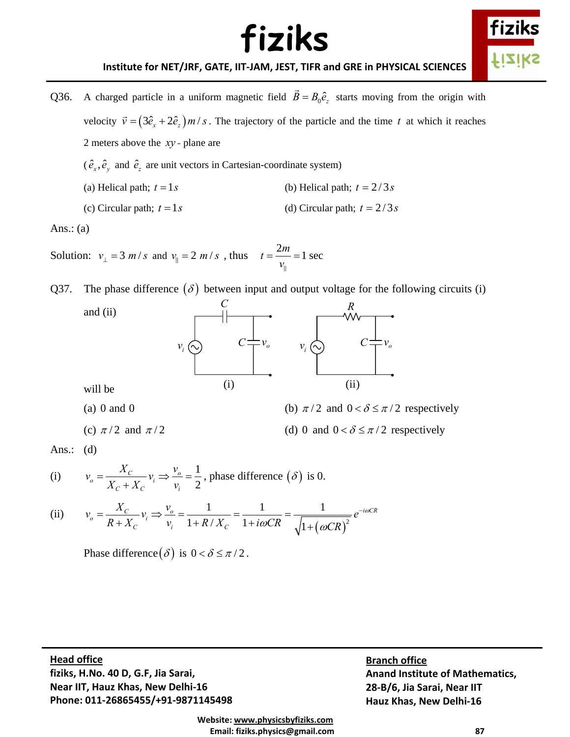

**Institute for NET/JRF, GATE, IIT‐JAM, JEST, TIFR and GRE in PHYSICAL SCIENCES**

- Q36. A charged particle in a uniform magnetic field  $\vec{B} = B_0 \hat{e}_z$  starts moving from the origin with velocity  $\vec{v} = (3\hat{e}_x + 2\hat{e}_z) m/s$ . The trajectory of the particle and the time *t* at which it reaches 2 meters above the *xy -* plane are  $(\hat{e}_x, \hat{e}_y, \hat{e}_z)$  and  $\hat{e}_z$  are unit vectors in Cartesian-coordinate system) (a) Helical path;  $t = 1s$  (b) Helical path;  $t = 2/3s$ 
	- (c) Circular path;  $t = 1s$  (d) Circular path;  $t = 2/3s$

Ans.:  $(a)$ 

Solution:  $v_{\perp} = 3 m/s$  and  $v_{\parallel} = 2 m/s$ , thus  $t = \frac{2m}{v_{\parallel}} = 1 \text{ sec}$ 

Q37. The phase difference  $(\delta)$  between input and output voltage for the following circuits (i)



- 
- (c)  $\pi/2$  and  $\pi/2$  (d) 0 and  $0 < \delta \le \pi/2$  respectively

(a) 0 and 0 (b)  $\pi/2$  and  $0 < \delta \le \pi/2$  respectively

Ans.:  $(d)$ 

(i) 
$$
v_o = \frac{X_C}{X_C + X_C} v_i \Rightarrow \frac{v_o}{v_i} = \frac{1}{2}
$$
, phase difference ( $\delta$ ) is 0.

(ii) 
$$
v_o = \frac{X_C}{R + X_C} v_i \Rightarrow \frac{v_o}{v_i} = \frac{1}{1 + R / X_C} = \frac{1}{1 + i\omega CR} = \frac{1}{\sqrt{1 + (\omega CR)^2}} e^{-i\omega CR}
$$

Phase difference  $(\delta)$  is  $0 < \delta \leq \pi/2$ .

 $\mathbf d$  office  **Phone: 011‐26865455/+91‐9871145498 Head office fiziks, H.No. 40 D, G.F, Jia Sarai, Near IIT, Hauz Khas, New Delhi‐16**

**Branch office Anand Institute of Mathematics, 28‐B/6, Jia Sarai, Near IIT Hauz Khas, New Delhi‐16**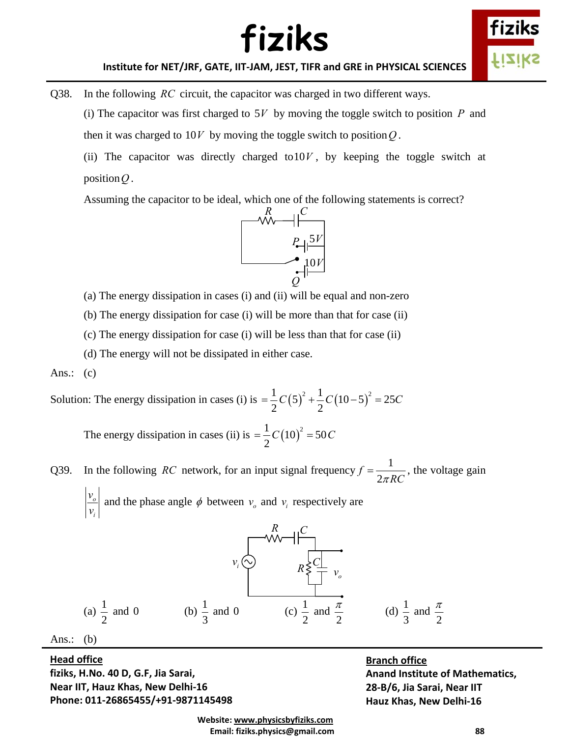



**Institute for NET/JRF, GATE, IIT‐JAM, JEST, TIFR and GRE in PHYSICAL SCIENCES**

Q38. In the following *RC* circuit, the capacitor was charged in two different ways.

(i) The capacitor was first charged to 5*V* by moving the toggle switch to position *P* and then it was charged to  $10V$  by moving the toggle switch to position Q.

(ii) The capacitor was directly charged to  $10V$ , by keeping the toggle switch at position*Q* .

Assuming the capacitor to be ideal, which one of the following statements is correct?



(a) The energy dissipation in cases (i) and (ii) will be equal and non-zero

(b) The energy dissipation for case (i) will be more than that for case (ii)

(c) The energy dissipation for case (i) will be less than that for case (ii)

(d) The energy will not be dissipated in either case.

Ans.:  $(c)$ 

Solution: The energy dissipation in cases (i) is  $= \frac{1}{2} C(5)^2 + \frac{1}{2} C(10-5)^2 = 25$  $2^{\circ}$   $\frac{2}{2}$  $=\frac{1}{2}C(5)^2+\frac{1}{2}C(10-5)^2=25C$ 

The energy dissipation in cases (ii) is  $= \frac{1}{2} C (10)^2 = 50 C$ 

Q39. In the following *RC* network, for an input signal frequency  $f = \frac{1}{2\pi RC}$ , the voltage gain

*o i v*  $\left| \frac{v_o}{v_i} \right|$  and the phase angle  $\phi$  between  $v_o$  and  $v_i$  respectively are



 $\mathbf d$  office  **Phone: 011‐26865455/+91‐9871145498 Head office fiziks, H.No. 40 D, G.F, Jia Sarai, Near IIT, Hauz Khas, New Delhi‐16**

#### **Branch office**

**Anand Institute of Mathematics, 28‐B/6, Jia Sarai, Near IIT Hauz Khas, New Delhi‐16**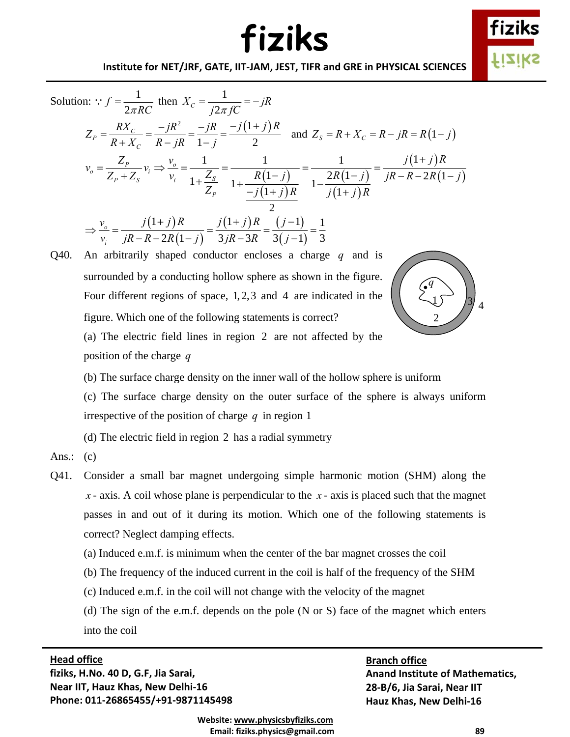

#### **Institute for NET/JRF, GATE, IIT‐JAM, JEST, TIFR and GRE in PHYSICAL SCIENCES**

Solution: 
$$
f = \frac{1}{2\pi RC}
$$
 then  $X_c = \frac{1}{j2\pi fC} = -jR$   
\n $Z_p = \frac{RX_c}{R + X_c} = \frac{-jR^2}{R - jR} = \frac{-j(R + j)R}{1 - j} = \frac{-j(1 + j)R}{2}$  and  $Z_s = R + X_c = R - jR = R(1 - j)$   
\n $v_o = \frac{Z_p}{Z_p + Z_s} v_i \Rightarrow \frac{v_o}{v_i} = \frac{1}{1 + \frac{Z_s}{Z_p}} = \frac{1}{1 + \frac{R(1 - j)}{R(1 + j)R}} = \frac{1}{1 - \frac{2R(1 - j)}{j(1 + j)R}} = \frac{j(1 + j)R}{jR - R - 2R(1 - j)}$   
\n $\Rightarrow \frac{v_o}{v_i} = \frac{j(1 + j)R}{jR - R - 2R(1 - j)} = \frac{j(1 + j)R}{3jR - 3R} = \frac{(j - 1)}{3(j - 1)} = \frac{1}{3}$ 

Q40. An arbitrarily shaped conductor encloses a charge *q* and is surrounded by a conducting hollow sphere as shown in the figure. Four different regions of space, 1,2,3 and 4 are indicated in the figure. Which one of the following statements is correct? (a) The electric field lines in region 2 are not affected by the position of the charge *q*



(b) The surface charge density on the inner wall of the hollow sphere is uniform

(c) The surface charge density on the outer surface of the sphere is always uniform irrespective of the position of charge *q* in region 1

(d) The electric field in region 2 has a radial symmetry

Ans.:  $(c)$ 

- Q41. Consider a small bar magnet undergoing simple harmonic motion (SHM) along the *x* - axis. A coil whose plane is perpendicular to the *x* - axis is placed such that the magnet passes in and out of it during its motion. Which one of the following statements is correct? Neglect damping effects.
	- (a) Induced e.m.f. is minimum when the center of the bar magnet crosses the coil
	- (b) The frequency of the induced current in the coil is half of the frequency of the SHM
	- (c) Induced e.m.f. in the coil will not change with the velocity of the magnet

(d) The sign of the e.m.f. depends on the pole (N or S) face of the magnet which enters into the coil

#### $\mathbf d$  office **Head office**

 **Phone: 011‐26865455/+91‐9871145498 fiziks, H.No. 40 D, G.F, Jia Sarai, Near IIT, Hauz Khas, New Delhi‐16**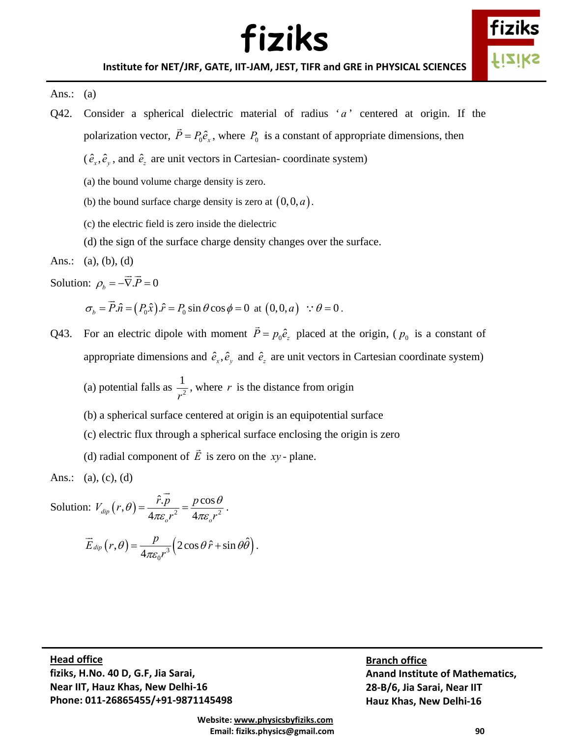

#### Ans.:  $(a)$

- Q42. Consider a spherical dielectric material of radius  $a'$  centered at origin. If the polarization vector,  $\vec{P} = P_0 \hat{e}_x$ , where  $P_0$  is a constant of appropriate dimensions, then
	- $(\hat{e}_x, \hat{e}_y, \hat{e}_z)$  are unit vectors in Cartesian- coordinate system)
	- (a) the bound volume charge density is zero.
	- (b) the bound surface charge density is zero at  $(0,0,a)$ .
	- (c) the electric field is zero inside the dielectric
	- (d) the sign of the surface charge density changes over the surface.

Ans.: (a), (b), (d)

Solution:  $\rho_b = -\nabla P = 0$  $\rightarrow$   $\rightarrow$ 

$$
\sigma_b = \vec{P}.\hat{n} = (P_0 \hat{x}).\hat{r} = P_0 \sin \theta \cos \phi = 0 \text{ at } (0,0,a) \quad \therefore \theta = 0.
$$

Q43. For an electric dipole with moment  $\vec{P} = p_0 \hat{e}_z$  placed at the origin, ( $p_0$  is a constant of appropriate dimensions and  $\hat{e}_x$ ,  $\hat{e}_y$  and  $\hat{e}_z$  are unit vectors in Cartesian coordinate system)

(a) potential falls as  $\frac{1}{r^2}$ *r* , where *r* is the distance from origin

- (b) a spherical surface centered at origin is an equipotential surface
- (c) electric flux through a spherical surface enclosing the origin is zero
- (d) radial component of *E*  $\rightarrow$ is zero on the *xy* - plane.

Ans.: (a), (c), (d)

Solution:  $V_{dip}(r,\theta) = \frac{\hat{r} \cdot p}{4\pi \varepsilon_o r^2} = \frac{p \cos \theta}{4\pi \varepsilon_o r^2}$  $V_{\text{dip}}(r,\theta) = \frac{\hat{r} \cdot p}{r^2} = \frac{p}{r^2}$  $r^2$  4 $\pi \varepsilon$ <sub>o</sub>r  $\theta = \frac{\hat{r} \cdot p}{4\pi \varepsilon r^2} = \frac{p \cos \theta}{4\pi \varepsilon r^2}$  $\rightarrow$ .

$$
\vec{E}_{\text{dip}}(r,\theta) = \frac{p}{4\pi\varepsilon_0 r^3} \Big(2\cos\theta \,\hat{r} + \sin\theta \hat{\theta}\Big).
$$

 $\mathbf d$  office  **Phone: 011‐26865455/+91‐9871145498 Head office fiziks, H.No. 40 D, G.F, Jia Sarai, Near IIT, Hauz Khas, New Delhi‐16**

**Branch office Anand Institute of Mathematics, 28‐B/6, Jia Sarai, Near IIT Hauz Khas, New Delhi‐16**